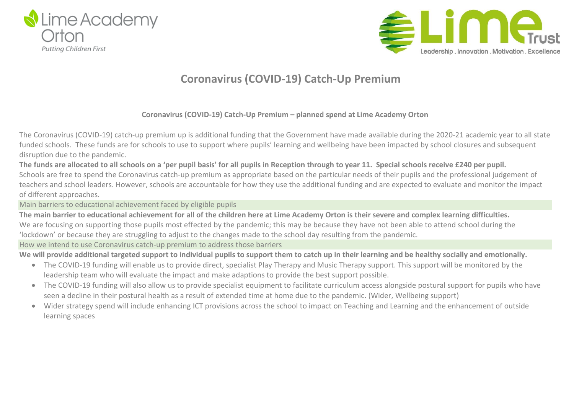



## **Coronavirus (COVID-19) Catch-Up Premium**

### **Coronavirus (COVID-19) Catch-Up Premium – planned spend at Lime Academy Orton**

The Coronavirus (COVID-19) catch-up premium up is additional funding that the Government have made available during the 2020-21 academic year to all state funded schools. These funds are for schools to use to support where pupils' learning and wellbeing have been impacted by school closures and subsequent disruption due to the pandemic.

The funds are allocated to all schools on a 'per pupil basis' for all pupils in Reception through to year 11. Special schools receive £240 per pupil. Schools are free to spend the Coronavirus catch-up premium as appropriate based on the particular needs of their pupils and the professional judgement of teachers and school leaders. However, schools are accountable for how they use the additional funding and are expected to evaluate and monitor the impact of different approaches.

Main barriers to educational achievement faced by eligible pupils

The main barrier to educational achievement for all of the children here at Lime Academy Orton is their severe and complex learning difficulties. We are focusing on supporting those pupils most effected by the pandemic; this may be because they have not been able to attend school during the 'lockdown' or because they are struggling to adjust to the changes made to the school day resulting from the pandemic.

How we intend to use Coronavirus catch-up premium to address those barriers

We will provide additional targeted support to individual pupils to support them to catch up in their learning and be healthy socially and emotionally.

- The COVID-19 funding will enable us to provide direct, specialist Play Therapy and Music Therapy support. This support will be monitored by the leadership team who will evaluate the impact and make adaptions to provide the best support possible.
- The COVID-19 funding will also allow us to provide specialist equipment to facilitate curriculum access alongside postural support for pupils who have seen a decline in their postural health as a result of extended time at home due to the pandemic. (Wider, Wellbeing support)
- Wider strategy spend will include enhancing ICT provisions across the school to impact on Teaching and Learning and the enhancement of outside learning spaces